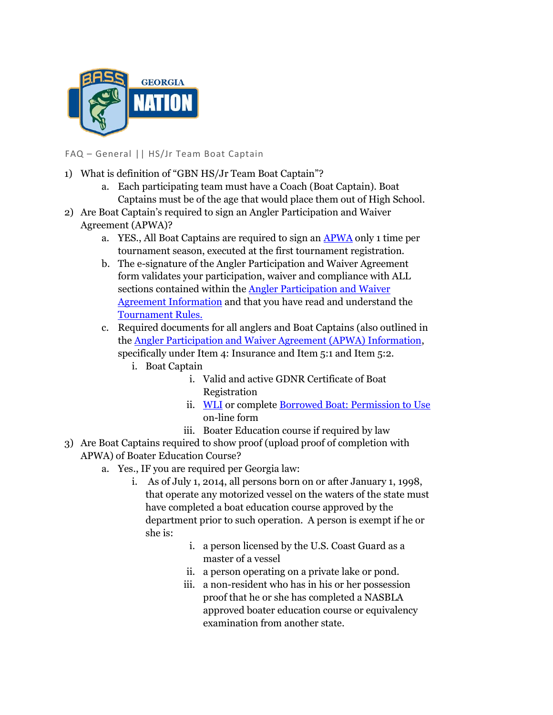

FAQ – General || HS/Jr Team Boat Captain

- 1) What is definition of "GBN HS/Jr Team Boat Captain"?
	- a. Each participating team must have a Coach (Boat Captain). Boat Captains must be of the age that would place them out of High School.
- 2) Are Boat Captain's required to sign an Angler Participation and Waiver Agreement (APWA)?
	- a. YES., All Boat Captains are required to sign an APWA only 1 time per tournament season, executed at the first tournament registration.
	- b. The e-signature of the Angler Participation and Waiver Agreement form validates your participation, waiver and compliance with ALL sections contained within the Angler Participation and Waiver Agreement Information and that you have read and understand the Tournament Rules.
	- c. Required documents for all anglers and Boat Captains (also outlined in the Angler Participation and Waiver Agreement (APWA) Information, specifically under Item 4: Insurance and Item 5:1 and Item 5:2.
		- i. Boat Captain
			- i. Valid and active GDNR Certificate of Boat Registration
			- ii. WLI or complete Borrowed Boat: Permission to Use on-line form
			- iii. Boater Education course if required by law
- 3) Are Boat Captains required to show proof (upload proof of completion with APWA) of Boater Education Course?
	- a. Yes., IF you are required per Georgia law:
		- i. As of July 1, 2014, all persons born on or after January 1, 1998, that operate any motorized vessel on the waters of the state must have completed a boat education course approved by the department prior to such operation. A person is exempt if he or she is:
			- i. a person licensed by the U.S. Coast Guard as a master of a vessel
			- ii. a person operating on a private lake or pond.
			- iii. a non-resident who has in his or her possession proof that he or she has completed a NASBLA approved boater education course or equivalency examination from another state.